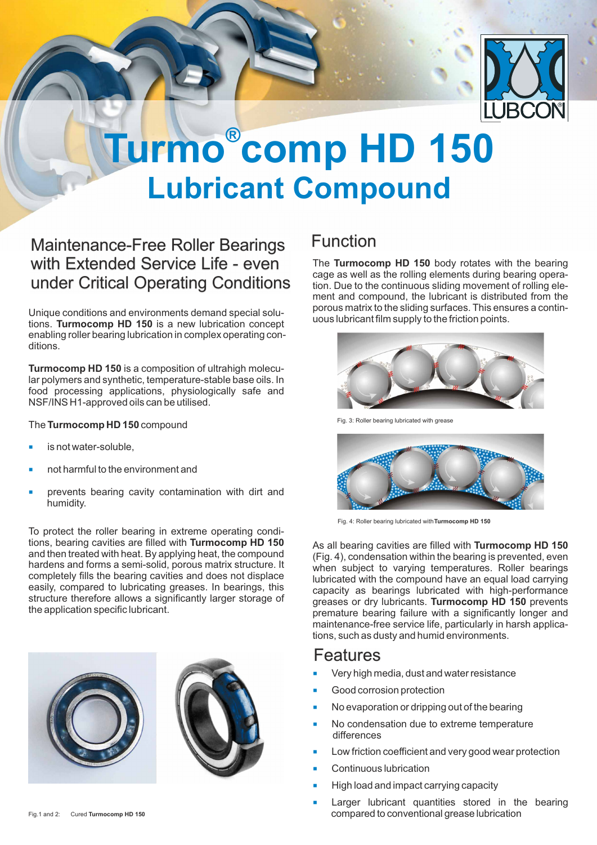

## **® Turmo comp HD 150 Lubricant Compound**

### Maintenance-Free Roller Bearings with Extended Service Life - even under Critical Operating Conditions

Unique conditions and environments demand special solutions. **Turmocomp HD 150** is a new lubrication concept enabling roller bearing lubrication in complex operating conditions.

**Turmocomp HD 150** is a composition of ultrahigh molecular polymers and synthetic, temperature-stable base oils. In food processing applications, physiologically safe and NSF/INS H1-approved oils can be utilised.

The **Turmocomp HD 150**compound

- ¡ is not water-soluble,
- ¡ not harmful to the environment and
- prevents bearing cavity contamination with dirt and humidity. ¡

To protect the roller bearing in extreme operating conditions, bearing cavities are filled with **Turmocomp HD 150** and then treated with heat. By applying heat, the compound hardens and forms a semi-solid, porous matrix structure. It completely fills the bearing cavities and does not displace easily, compared to lubricating greases. In bearings, this structure therefore allows a significantly larger storage of the application specific lubricant.



## Function

The **Turmocomp HD 150** body rotates with the bearing cage as well as the rolling elements during bearing operation. Due to the continuous sliding movement of rolling element and compound, the lubricant is distributed from the porous matrix to the sliding surfaces. This ensures a continuous lubricant film supply to the friction points.



Fig. 3: Roller bearing lubricated with grease



Fig. 4: Roller bearing lubricated with **Turmocomp HD 150**

As all bearing cavities are filled with **Turmocomp HD 150** (Fig. 4), condensation within the bearing is prevented, even when subject to varying temperatures. Roller bearings lubricated with the compound have an equal load carrying capacity as bearings lubricated with high-performance greases or dry lubricants. **Turmocomp HD 150** prevents premature bearing failure with a significantly longer and maintenance-free service life, particularly in harsh applications, such as dusty and humid environments.

### Features

- ¡ Very high media, dust and water resistance
- ¡ Good corrosion protection
- ¡ No evaporation or dripping out of the bearing
- ¡ No condensation due to extreme temperature differences
- ¡ Low friction coefficient and very good wear protection
- ¡ Continuous lubrication
- ¡ High load and impact carrying capacity
- ¡ Larger lubricant quantities stored in the bearing compared to conventional grease lubrication